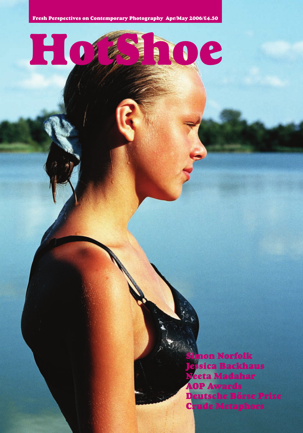HotShoe

imon Norfolk Jessica Backhaus Neeta Madahar AOP Awards Deutsche Börse Prize Crude Metaphors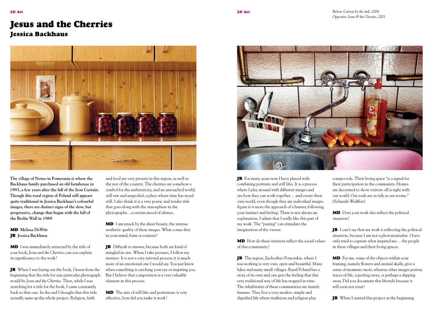## Jesus and the Cherries

## Jessica Backhaus



**The village of Netno in Pomerania is where the Backhaus family purchased an old farmhouse in 1993, a few years after the fall of the Iron Curtain. Though this rural region of Poland still appears quite traditional in Jessica Backhaus's colourful images, there are distinct signs of the slow, but progressive, change that began with the fall of the Berlin Wall in 1989**.

MD **Melissa DeWitt** JB **Jessica Backhaus**

**MD** I was immediately attracted by the title of your book, *Jesus and the Cherries*; can you explain its significance to the work?

JB When I was laying out the book, I knew from the beginning that the title for one particular photograph would be *Jesus and the Cherries*. Then, while I was searching for a title for the book, I came constantly back to that one. In the end I thought that this title actually sums up the whole project. Religion, faith

and food are very present in this region, as well as the rest of the country. The cherries are somehow a symbol for the authenticity, and an untouched world; still raw and unspoiled, a place where time has stood still. I also think it is a very poetic and tender title that goes along with the atmosphere in the photographs…a certain mood of silence.

**MD** I am struck by the sheer beauty, the intense aesthetic quality of these images. What comes first in your mind, form or content?

JB Difficult to answer, because both are kind of mingled in one. When I take pictures, I follow my instinct. It is not a very rational process; it is much more of an emotional one I would say. You just know when something is catching your eye or inspiring you. But I believe that composition is a very valuable element in this process.

MD The mix of still lifes and portraiture is very effective, how did you make it work?



JB For many years now I have played with combining portraits and still lifes. It is a process where I play around with different images and see how they can work together… and create their own world, even though they are individual images. Again it is more the approach of a hunter, following your instinct and feeling. There is not always an explanation. I admit that I really like this part of my work. The "pairing" can stimulate the imagination of the viewer.

MD How do these interiors reflect the social values of this community?

JB The region, Zachodnio Pomorskie, where I was working is very vast, open and beautiful. Many lakes and many small villages. Rural Poland has a story of its own and one gets the feeling that this very traditional way of life has stopped in time. The inhabitants of these communities are mainly farmers. They live a very modest, simple and dignified life where traditions and religion play

a major role. Their living space "is a signal for their participation in the community. Homes are decorated to show visitors: all is right with our world. Our souls are as tidy as our rooms." (Schmidt-Wulffen)

**MD** Does your work also reflect the political situation?

**JB** I can't say that my work is reflecting the political situation, because I am not a photojournalist. I have only tried to capture what inspired me… the people in these villages and their living spaces.

**MD** For me, some of the objects within your framing, namely flowers and animal skulls, give a sense of memento mori, whereas other images portray traces of life, a peeling away, or perhaps a slipping away. Did you document this lifestyle because it will soon not exist?

JB When I started this project at the beginning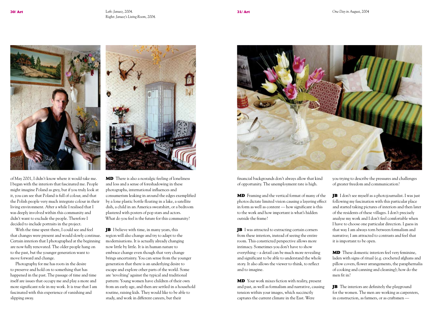

of May 2001, I didn't know where it would take me. I began with the interiors that fascinated me. People might imagine Poland as grey, but if you truly look at it, you can see that Poland is full of colour, and that the Polish people very much integrate colour in their living environment. After a while I realised that I was deeply involved within this community and didn't want to exclude the people. Therefore I decided to include portraits in the project.

With the time spent there, I could see and feel that changes were present and would slowly continue. Certain interiors that I photographed at the beginning are now fully renovated. The older people hang on to the past, but the younger generation want to move forward and change.

Photography for me has roots in the desire to preserve and hold on to something that has happened in the past. The passage of time and time itself are issues that occupy me and play a more and more significant role in my work. It is true that I am fascinated with this experience of vanishing and slipping away.



MD There is also a nostalgic feeling of loneliness and loss and a sense of foreshadowing in these photographs, international influences and consumerism leaking in around the edges exemplified by a lone plastic bottle floating in a lake, a satellite dish, a child in an America sweatshirt, or a bedroom plastered with posters of pop stars and actors. What do you feel is the future for this community?

**JB** I believe with time, in many years, this region will also change and try to adapt to the modernisations. It is actually already changing now little by little. It is in human nature to embrace change even though that very change brings uncertainty. You can sense from the younger generation that there is an underlying desire to escape and explore other parts of the world. Some are 'revolting' against the typical and traditional pattern: Young women have children of their own from an early age, and then are settled in a household routine, raising kids. They would like to be able to study, and work in different careers, but their



financial backgrounds don't always allow that kind of opportunity. The unemployment rate is high.

MD Framing and the vertical format of many of the photos dictate limited vision causing a layering effect in form as well as content — how significant is this to the work and how important is what's hidden outside the frame?

JB I was attracted to extracting certain corners from these interiors, instead of seeing the entire room. This constricted perspective allows more intimacy. Sometimes you don't have to show everything – a detail can be much more revealing and significant to be able to understand the whole story. It also allows the viewer to think, to reflect and to imagine.

MD Your work mixes fiction with reality, present and past, as well as formalism and narrative, causing tension within your images, which succinctly captures the current climate in the East. Were

you trying to describe the pressures and challenges of greater freedom and communication?

JB I don't see myself as a photojournalist. I was just following my fascination with this particular place and started taking pictures of interiors and then later of the residents of these villages. I don't precisely analyse my work and I don't feel comfortable when I have to choose one particular direction. I guess in that way I am always torn between formalism and narrative; I am attracted to contrasts and feel that it is important to be open.

MD These domestic interiors feel very feminine, laden with signs of ritual (e.g. crocheted afghans and pillow covers, flower arrangements, the paraphernalia of cooking and canning and cleaning); how do the men fit in?

JB The interiors are definitely the playground for the women. The men are working as carpenters, in construction, as farmers, or as craftsmen —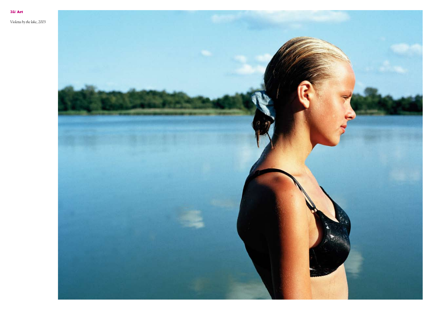

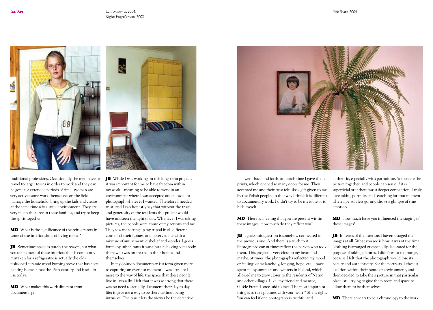

traditional professions. Occasionally the men have to travel to larger towns in order to work and they can be gone for extended periods of time. Women are very active; some work themselves on the field, manage the household, bring up the kids and create at the same time a beautiful environment. They are very much the force in these families, and try to keep the spirit together.

**MD** What is the significance of the refrigerators in some of the interior shots of living rooms?

**JB** Sometimes space is purely the reason, but what you see in most of these interiors that is commonly mistaken for a refrigerator is actually the oldfashioned ceramic wood burning stove that has been heating homes since the 19th century and is still in use today.

MD What makes this work different from documentary?



**IB** While I was working on this long-term project, it was important for me to have freedom within my work – meaning to be able to work in an environment where I was accepted and allowed to photograph whatever I wanted. Therefore I needed trust, and I can honestly say that without the trust and generosity of the residents this project would have not seen the light of day. Whenever I was taking pictures, the people were aware of my actions and me. They saw me setting up my tripod in all different corners of their homes, and observed me with a mixture of amusement, disbelief and wonder. I guess for many inhabitants it was unusual having somebody there who was interested in their homes and themselves.

In my opinion documentary is a form given more to capturing an event or moment. I was attracted more to the way of life, the space that these people live in. Visually, I felt that it was so strong that there was no need to actually document their day to day life; it gave me a way to be there without being intrusive. The result lets the viewer be the detective. *Pink Beata*, 2004



I went back and forth, and each time I gave them prints, which opened so many doors for me. They accepted me and their trust felt like a gift given to me by the Polish people. In that way I think it is different to documentary work. I didn't try to be invisible or to hide myself.

**MD** There is a feeling that you are present within these images. How much do they reflect you?

JB I guess this question is somehow connected to the previous one. And there is a truth to it: Photographs can at times reflect the person who took them. This project is very close to my heart and maybe, at times, the photographs reflected my mood or feelings of melancholy, longing, hope, etc. I have spent many summers and winters in Poland, which allowed me to grow closer to the residents of Netno and other villages. Like, my friend and mentor, Gisèle Freund once said to me: "The most important thing is to take pictures with your heart." She is right. You can feel if one photograph is truthful and

authentic, especially with portraiture. You create the picture together, and people can sense if it is superficial or if there was a deeper connection. I truly love taking portraits, and searching for that moment when a person lets go, and shows a glimpse of true emotion.

**MD** How much have you influenced the staging of these images?

JB In terms of the interiors I haven't staged the images at all. What you see is how it was at the time. Nothing is arranged or especially decorated for the purpose of taking pictures. I didn't want to arrange, because I felt that the photograph would lose its beauty and authenticity. For the portraits, I chose a location within their house or environment, and then decided to take their picture in that particular place; still trying to give them room and space to allow them to be themselves.

**MD** There appears to be a chronology to the work.